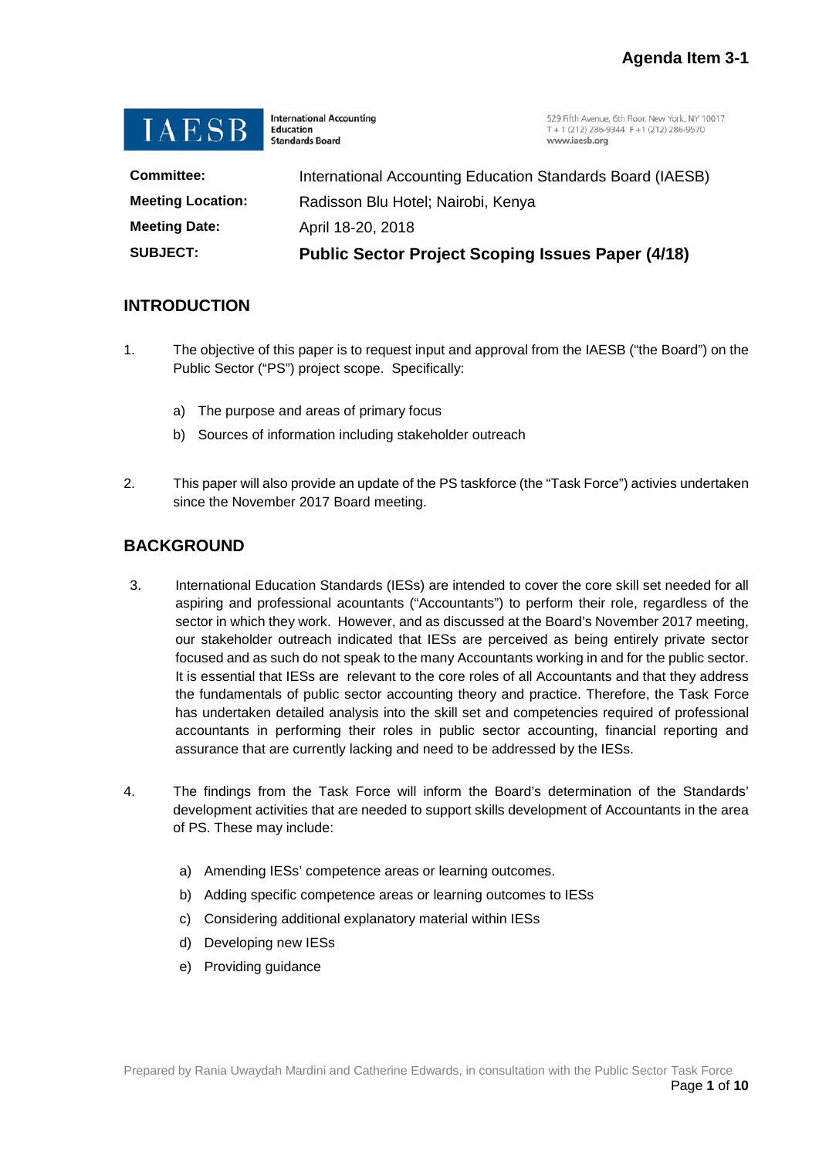

**International Accounting** Education **Standards Board** 

529 Fifth Avenue, 6th Floor, New York, NY 10017 T + 1 (212) 286-9344  $F$  +1 (212) 286-9570 www.jaesb.org

| <b>SUBJECT:</b>          | <b>Public Sector Project Scoping Issues Paper (4/18)</b>   |
|--------------------------|------------------------------------------------------------|
| <b>Meeting Date:</b>     | April 18-20, 2018                                          |
| <b>Meeting Location:</b> | Radisson Blu Hotel; Nairobi, Kenya                         |
| <b>Committee:</b>        | International Accounting Education Standards Board (IAESB) |

#### **INTRODUCTION**

- 1. The objective of this paper is to request input and approval from the IAESB ("the Board") on the Public Sector ("PS") project scope. Specifically:
	- a) The purpose and areas of primary focus
	- b) Sources of information including stakeholder outreach
- 2. This paper will also provide an update of the PS taskforce (the "Task Force") activies undertaken since the November 2017 Board meeting.

### **BACKGROUND**

- 3. International Education Standards (IESs) are intended to cover the core skill set needed for all aspiring and professional acountants ("Accountants") to perform their role, regardless of the sector in which they work. However, and as discussed at the Board's November 2017 meeting, our stakeholder outreach indicated that IESs are perceived as being entirely private sector focused and as such do not speak to the many Accountants working in and for the public sector. It is essential that IESs are relevant to the core roles of all Accountants and that they address the fundamentals of public sector accounting theory and practice. Therefore, the Task Force has undertaken detailed analysis into the skill set and competencies required of professional accountants in performing their roles in public sector accounting, financial reporting and assurance that are currently lacking and need to be addressed by the IESs.
- 4. The findings from the Task Force will inform the Board's determination of the Standards' development activities that are needed to support skills development of Accountants in the area of PS. These may include:
	- a) Amending IESs' competence areas or learning outcomes.
	- b) Adding specific competence areas or learning outcomes to IESs
	- c) Considering additional explanatory material within IESs
	- d) Developing new IESs
	- e) Providing guidance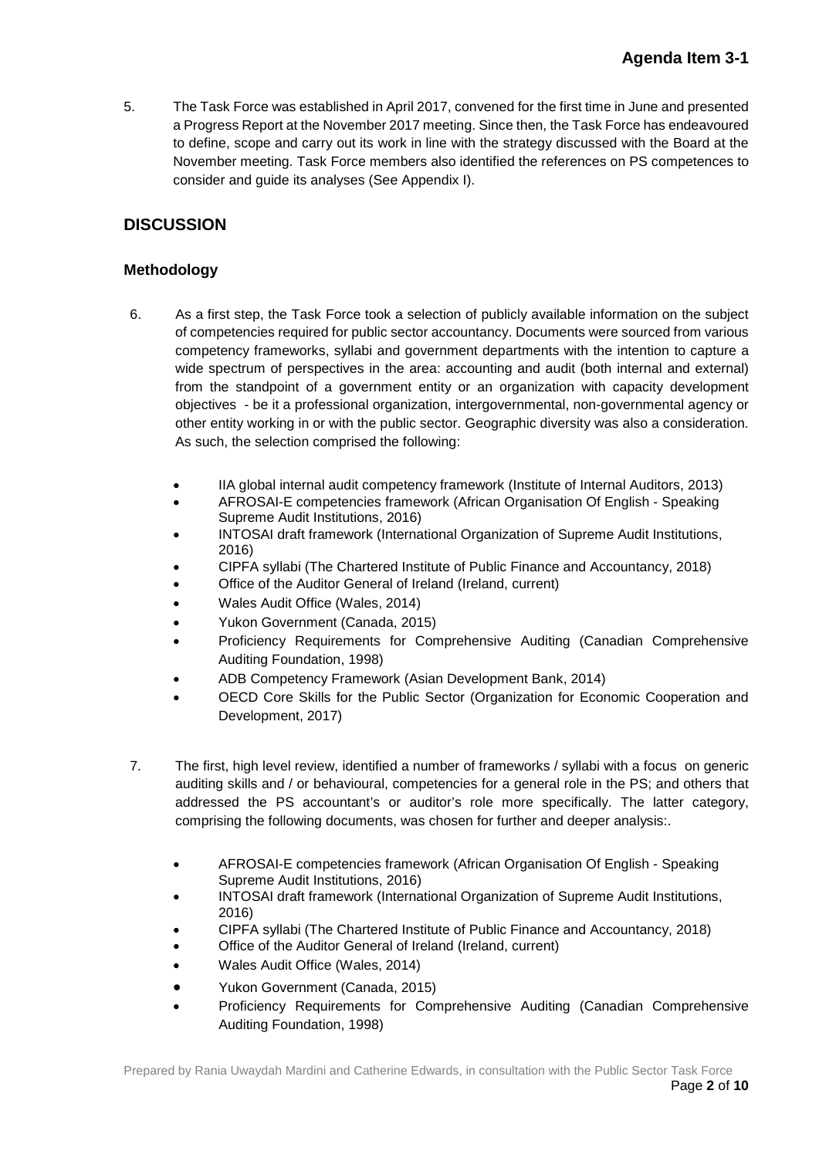5. The Task Force was established in April 2017, convened for the first time in June and presented a Progress Report at the November 2017 meeting. Since then, the Task Force has endeavoured to define, scope and carry out its work in line with the strategy discussed with the Board at the November meeting. Task Force members also identified the references on PS competences to consider and guide its analyses (See Appendix I).

## **DISCUSSION**

#### **Methodology**

- 6. As a first step, the Task Force took a selection of publicly available information on the subject of competencies required for public sector accountancy. Documents were sourced from various competency frameworks, syllabi and government departments with the intention to capture a wide spectrum of perspectives in the area: accounting and audit (both internal and external) from the standpoint of a government entity or an organization with capacity development objectives - be it a professional organization, intergovernmental, non-governmental agency or other entity working in or with the public sector. Geographic diversity was also a consideration. As such, the selection comprised the following:
	- IIA global internal audit competency framework (Institute of Internal Auditors, 2013)
	- AFROSAI-E competencies framework (African Organisation Of English Speaking Supreme Audit Institutions, 2016)
	- INTOSAI draft framework (International Organization of Supreme Audit Institutions, 2016)
	- CIPFA syllabi (The Chartered Institute of Public Finance and Accountancy, 2018)
	- Office of the Auditor General of Ireland (Ireland, current)
	- Wales Audit Office (Wales, 2014)
	- Yukon Government (Canada, 2015)
	- Proficiency Requirements for Comprehensive Auditing (Canadian Comprehensive Auditing Foundation, 1998)
	- ADB Competency Framework (Asian Development Bank, 2014)
	- OECD Core Skills for the Public Sector (Organization for Economic Cooperation and Development, 2017)
- 7. The first, high level review, identified a number of frameworks / syllabi with a focus on generic auditing skills and / or behavioural, competencies for a general role in the PS; and others that addressed the PS accountant's or auditor's role more specifically. The latter category, comprising the following documents, was chosen for further and deeper analysis:.
	- AFROSAI-E competencies framework (African Organisation Of English Speaking Supreme Audit Institutions, 2016)
	- INTOSAI draft framework (International Organization of Supreme Audit Institutions, 2016)
	- CIPFA syllabi (The Chartered Institute of Public Finance and Accountancy, 2018)
	- Office of the Auditor General of Ireland (Ireland, current)
	- Wales Audit Office (Wales, 2014)
	- Yukon Government (Canada, 2015)
	- Proficiency Requirements for Comprehensive Auditing (Canadian Comprehensive Auditing Foundation, 1998)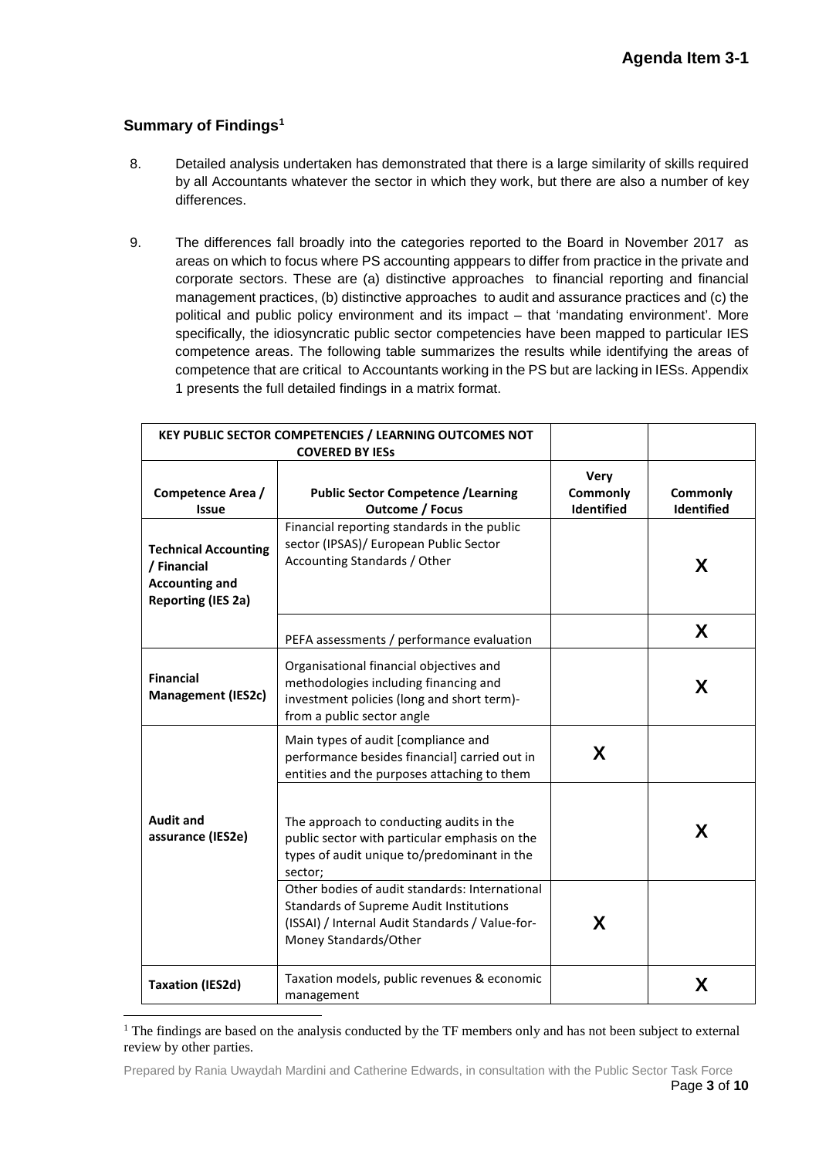### **Summary of Findings[1](#page-2-0)**

- 8. Detailed analysis undertaken has demonstrated that there is a large similarity of skills required by all Accountants whatever the sector in which they work, but there are also a number of key differences.
- 9. The differences fall broadly into the categories reported to the Board in November 2017 as areas on which to focus where PS accounting apppears to differ from practice in the private and corporate sectors. These are (a) distinctive approaches to financial reporting and financial management practices, (b) distinctive approaches to audit and assurance practices and (c) the political and public policy environment and its impact – that 'mandating environment'. More specifically, the idiosyncratic public sector competencies have been mapped to particular IES competence areas. The following table summarizes the results while identifying the areas of competence that are critical to Accountants working in the PS but are lacking in IESs. Appendix 1 presents the full detailed findings in a matrix format.

| KEY PUBLIC SECTOR COMPETENCIES / LEARNING OUTCOMES NOT                                           |                                                                                                                                                                              |                                |                        |
|--------------------------------------------------------------------------------------------------|------------------------------------------------------------------------------------------------------------------------------------------------------------------------------|--------------------------------|------------------------|
| Competence Area /<br><b>Issue</b>                                                                | <b>Public Sector Competence / Learning</b><br><b>Outcome / Focus</b>                                                                                                         | Very<br>Commonly<br>Identified | Commonly<br>Identified |
| <b>Technical Accounting</b><br>/ Financial<br><b>Accounting and</b><br><b>Reporting (IES 2a)</b> | Financial reporting standards in the public<br>sector (IPSAS)/ European Public Sector<br>Accounting Standards / Other                                                        |                                | X                      |
|                                                                                                  | PEFA assessments / performance evaluation                                                                                                                                    |                                | X                      |
| <b>Financial</b><br><b>Management (IES2c)</b>                                                    | Organisational financial objectives and<br>methodologies including financing and<br>investment policies (long and short term)-<br>from a public sector angle                 |                                | X                      |
|                                                                                                  | Main types of audit [compliance and<br>performance besides financial] carried out in<br>entities and the purposes attaching to them                                          | X                              |                        |
| <b>Audit and</b><br>assurance (IES2e)                                                            | The approach to conducting audits in the<br>public sector with particular emphasis on the<br>types of audit unique to/predominant in the<br>sector;                          |                                | X                      |
|                                                                                                  | Other bodies of audit standards: International<br><b>Standards of Supreme Audit Institutions</b><br>(ISSAI) / Internal Audit Standards / Value-for-<br>Money Standards/Other | X                              |                        |
| <b>Taxation (IES2d)</b>                                                                          | Taxation models, public revenues & economic<br>management                                                                                                                    |                                | X                      |

<span id="page-2-0"></span><sup>&</sup>lt;sup>1</sup> The findings are based on the analysis conducted by the TF members only and has not been subject to external review by other parties.

Prepared by Rania Uwaydah Mardini and Catherine Edwards, in consultation with the Public Sector Task Force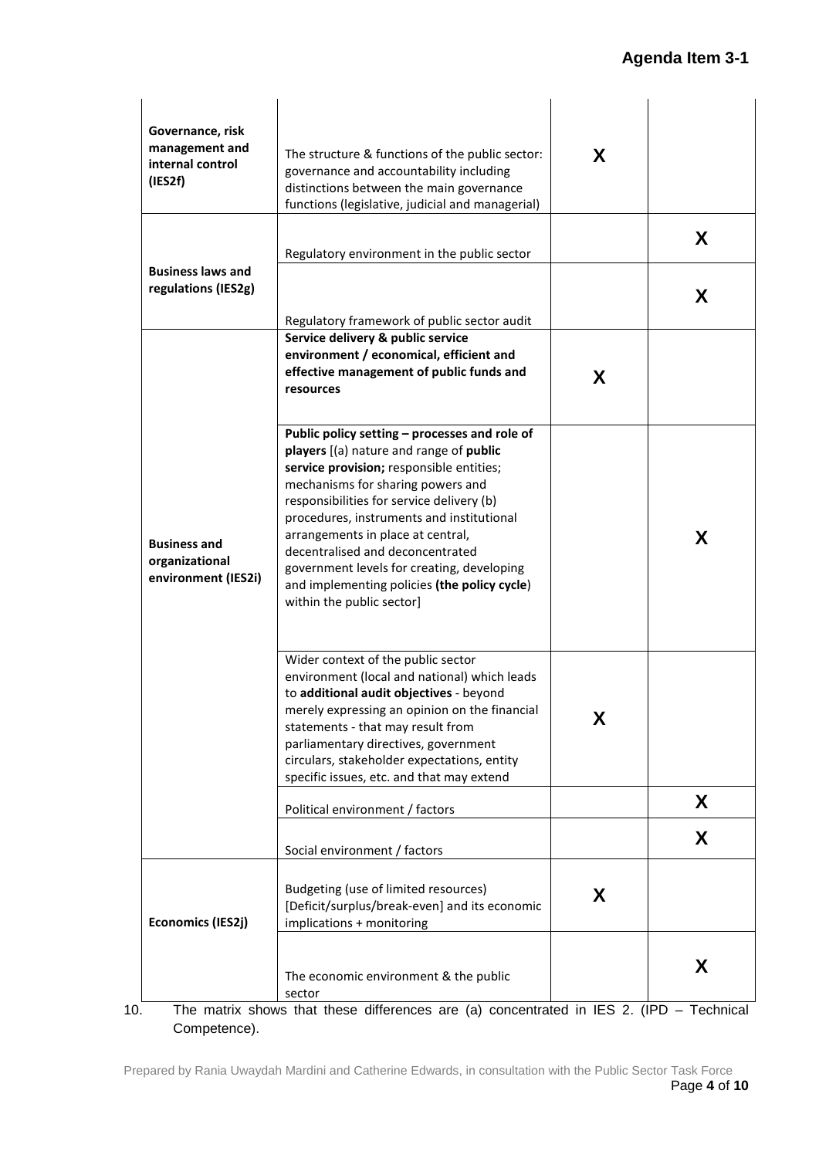| Governance, risk<br>management and<br>internal control<br>(IES2f) | The structure & functions of the public sector:<br>governance and accountability including<br>distinctions between the main governance<br>functions (legislative, judicial and managerial)                                                                                                                                                                                                                                                                              | X |        |
|-------------------------------------------------------------------|-------------------------------------------------------------------------------------------------------------------------------------------------------------------------------------------------------------------------------------------------------------------------------------------------------------------------------------------------------------------------------------------------------------------------------------------------------------------------|---|--------|
| <b>Business laws and</b><br>regulations (IES2g)                   | Regulatory environment in the public sector                                                                                                                                                                                                                                                                                                                                                                                                                             |   | X<br>X |
|                                                                   | Regulatory framework of public sector audit<br>Service delivery & public service<br>environment / economical, efficient and<br>effective management of public funds and<br>resources                                                                                                                                                                                                                                                                                    | X |        |
| <b>Business and</b><br>organizational<br>environment (IES2i)      | Public policy setting - processes and role of<br>players [(a) nature and range of public<br>service provision; responsible entities;<br>mechanisms for sharing powers and<br>responsibilities for service delivery (b)<br>procedures, instruments and institutional<br>arrangements in place at central,<br>decentralised and deconcentrated<br>government levels for creating, developing<br>and implementing policies (the policy cycle)<br>within the public sector] |   | X      |
|                                                                   | Wider context of the public sector<br>environment (local and national) which leads<br>to additional audit objectives - beyond<br>merely expressing an opinion on the financial<br>statements - that may result from<br>parliamentary directives, government<br>circulars, stakeholder expectations, entity<br>specific issues, etc. and that may extend                                                                                                                 | Χ |        |
|                                                                   | Political environment / factors<br>Social environment / factors                                                                                                                                                                                                                                                                                                                                                                                                         |   | X<br>X |
| <b>Economics (IES2j)</b>                                          | Budgeting (use of limited resources)<br>[Deficit/surplus/break-even] and its economic<br>implications + monitoring                                                                                                                                                                                                                                                                                                                                                      | X |        |
|                                                                   | The economic environment & the public<br>sector                                                                                                                                                                                                                                                                                                                                                                                                                         |   | X      |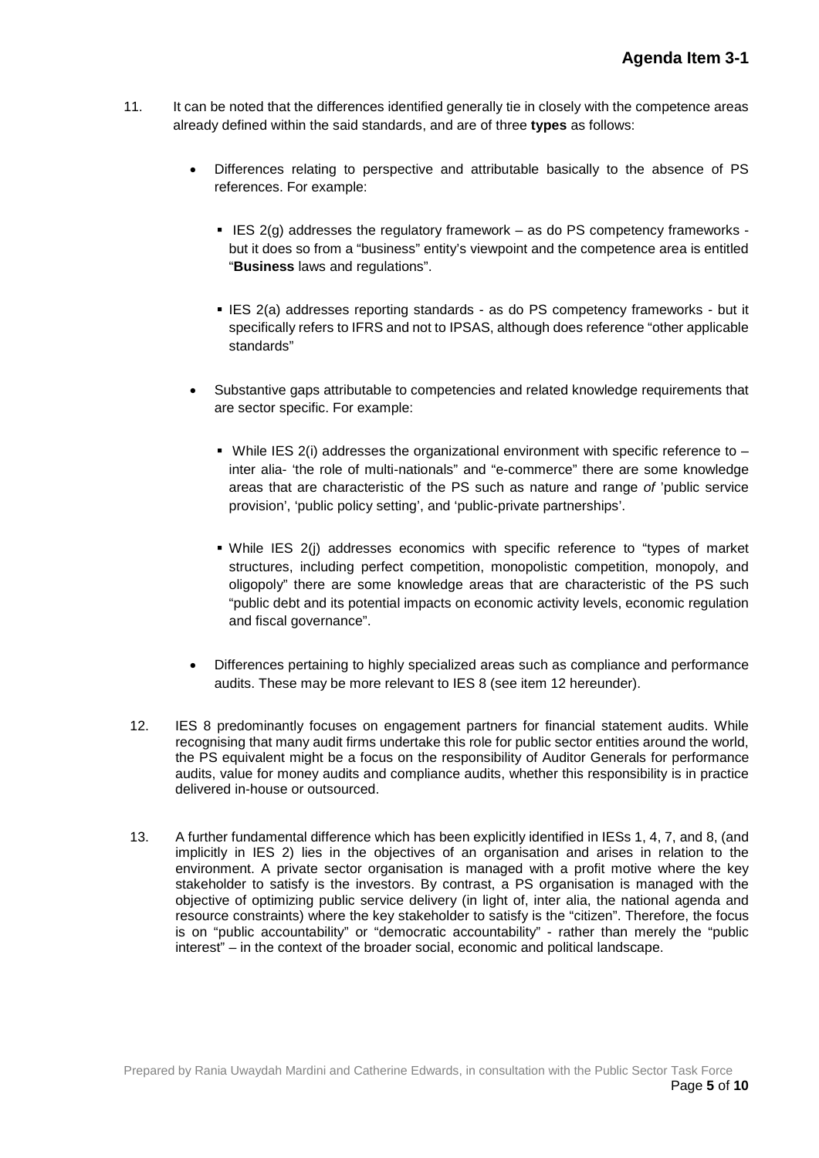- 11. It can be noted that the differences identified generally tie in closely with the competence areas already defined within the said standards, and are of three **types** as follows:
	- Differences relating to perspective and attributable basically to the absence of PS references. For example:
		- IES  $2(g)$  addresses the regulatory framework as do PS competency frameworks but it does so from a "business" entity's viewpoint and the competence area is entitled "**Business** laws and regulations".
		- **IES 2(a) addresses reporting standards as do PS competency frameworks but it** specifically refers to IFRS and not to IPSAS, although does reference "other applicable standards"
	- Substantive gaps attributable to competencies and related knowledge requirements that are sector specific. For example:
		- While IES 2(i) addresses the organizational environment with specific reference to  $$ inter alia- 'the role of multi-nationals" and "e-commerce" there are some knowledge areas that are characteristic of the PS such as nature and range *of* 'public service provision', 'public policy setting', and 'public-private partnerships'.
		- While IES 2(j) addresses economics with specific reference to "types of market structures, including perfect competition, monopolistic competition, monopoly, and oligopoly" there are some knowledge areas that are characteristic of the PS such "public debt and its potential impacts on economic activity levels, economic regulation and fiscal governance".
	- Differences pertaining to highly specialized areas such as compliance and performance audits. These may be more relevant to IES 8 (see item 12 hereunder).
- 12. IES 8 predominantly focuses on engagement partners for financial statement audits. While recognising that many audit firms undertake this role for public sector entities around the world, the PS equivalent might be a focus on the responsibility of Auditor Generals for performance audits, value for money audits and compliance audits, whether this responsibility is in practice delivered in-house or outsourced.
- 13. A further fundamental difference which has been explicitly identified in IESs 1, 4, 7, and 8, (and implicitly in IES 2) lies in the objectives of an organisation and arises in relation to the environment. A private sector organisation is managed with a profit motive where the key stakeholder to satisfy is the investors. By contrast, a PS organisation is managed with the objective of optimizing public service delivery (in light of, inter alia, the national agenda and resource constraints) where the key stakeholder to satisfy is the "citizen". Therefore, the focus is on "public accountability" or "democratic accountability" - rather than merely the "public interest" – in the context of the broader social, economic and political landscape.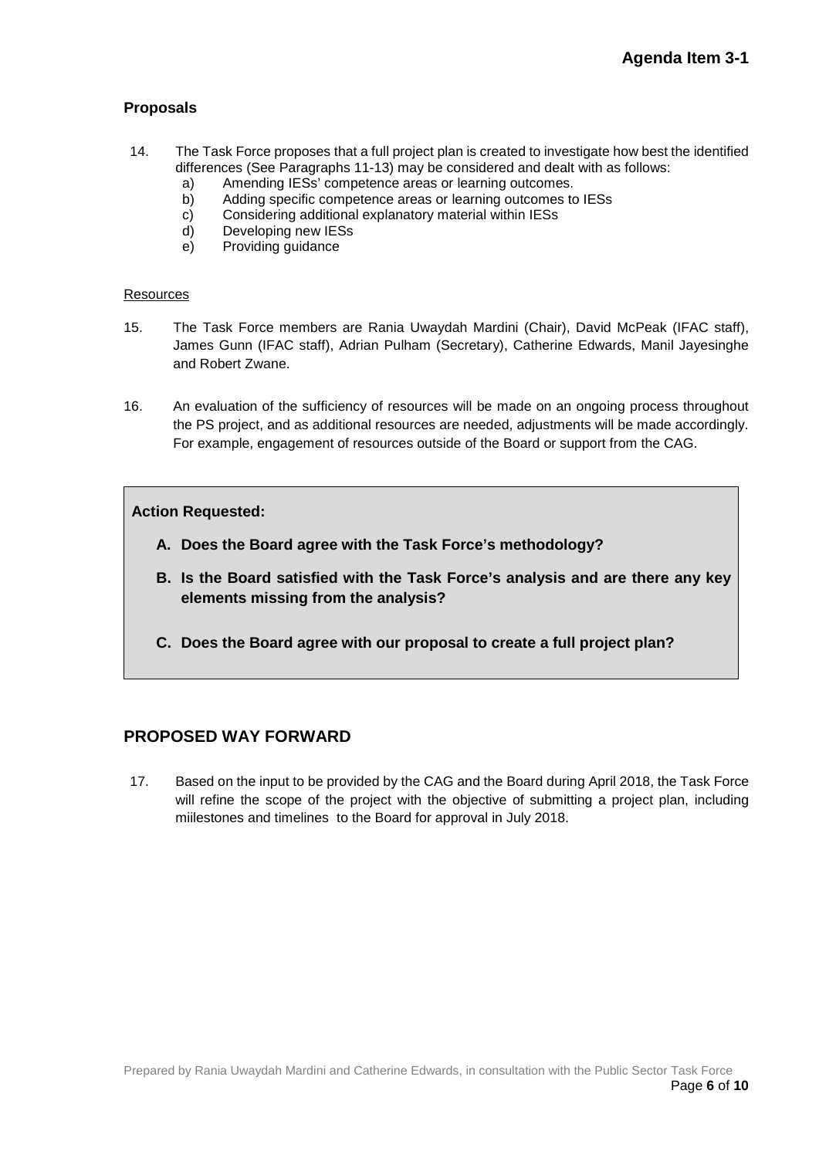#### **Proposals**

- 14. The Task Force proposes that a full project plan is created to investigate how best the identified differences (See Paragraphs 11-13) may be considered and dealt with as follows:
	- a) Amending IESs' competence areas or learning outcomes.
	- b) Adding specific competence areas or learning outcomes to IESs
	- c) Considering additional explanatory material within IESs
	- d) Developing new IESs
	- e) Providing guidance

#### **Resources**

- 15. The Task Force members are Rania Uwaydah Mardini (Chair), David McPeak (IFAC staff), James Gunn (IFAC staff), Adrian Pulham (Secretary), Catherine Edwards, Manil Jayesinghe and Robert Zwane.
- 16. An evaluation of the sufficiency of resources will be made on an ongoing process throughout the PS project, and as additional resources are needed, adjustments will be made accordingly. For example, engagement of resources outside of the Board or support from the CAG.

#### **Action Requested:**

- **A. Does the Board agree with the Task Force's methodology?**
- **B. Is the Board satisfied with the Task Force's analysis and are there any key elements missing from the analysis?**
- **C. Does the Board agree with our proposal to create a full project plan?**

### **PROPOSED WAY FORWARD**

17. Based on the input to be provided by the CAG and the Board during April 2018, the Task Force will refine the scope of the project with the objective of submitting a project plan, including miilestones and timelines to the Board for approval in July 2018.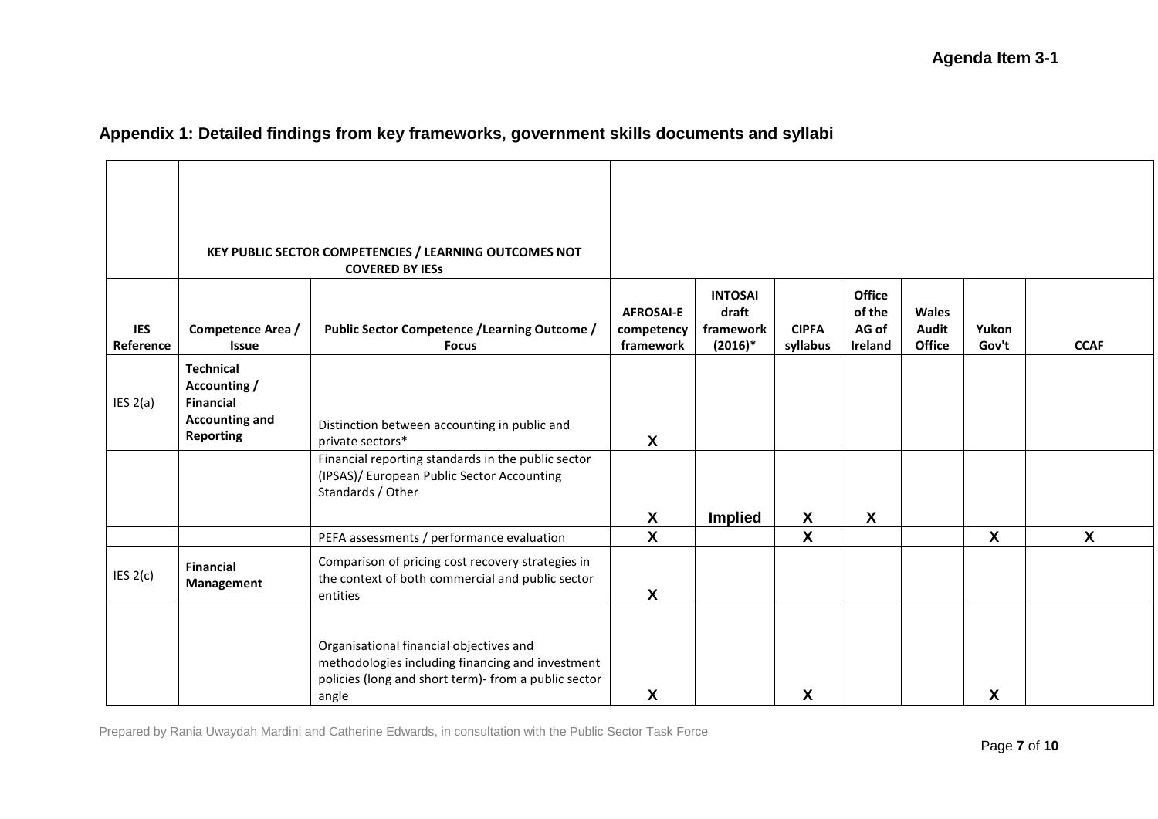# **Appendix 1: Detailed findings from key frameworks, government skills documents and syllabi**

|                         |                                                                                                   | KEY PUBLIC SECTOR COMPETENCIES / LEARNING OUTCOMES NOT<br><b>COVERED BY IESS</b>                                                                             |                                             |                                                   |                           |                                             |                                               |                           |                  |
|-------------------------|---------------------------------------------------------------------------------------------------|--------------------------------------------------------------------------------------------------------------------------------------------------------------|---------------------------------------------|---------------------------------------------------|---------------------------|---------------------------------------------|-----------------------------------------------|---------------------------|------------------|
| <b>IES</b><br>Reference | Competence Area /<br><b>Issue</b>                                                                 | <b>Public Sector Competence / Learning Outcome /</b><br><b>Focus</b>                                                                                         | <b>AFROSAI-E</b><br>competency<br>framework | <b>INTOSAI</b><br>draft<br>framework<br>$(2016)*$ | <b>CIPFA</b><br>syllabus  | <b>Office</b><br>of the<br>AG of<br>Ireland | <b>Wales</b><br><b>Audit</b><br><b>Office</b> | Yukon<br>Gov't            | <b>CCAF</b>      |
| IES 2(a)                | <b>Technical</b><br>Accounting /<br><b>Financial</b><br><b>Accounting and</b><br><b>Reporting</b> | Distinction between accounting in public and<br>private sectors*                                                                                             | $\boldsymbol{\mathsf{X}}$                   |                                                   |                           |                                             |                                               |                           |                  |
|                         |                                                                                                   | Financial reporting standards in the public sector<br>(IPSAS)/ European Public Sector Accounting<br>Standards / Other                                        | X                                           | <b>Implied</b>                                    | $\boldsymbol{\mathsf{X}}$ | $\boldsymbol{\mathsf{X}}$                   |                                               |                           |                  |
|                         |                                                                                                   | PEFA assessments / performance evaluation                                                                                                                    | $\mathbf{x}$                                |                                                   | $\boldsymbol{\mathsf{X}}$ |                                             |                                               | $\boldsymbol{\mathsf{X}}$ | $\boldsymbol{X}$ |
| IES $2(c)$              | <b>Financial</b><br>Management                                                                    | Comparison of pricing cost recovery strategies in<br>the context of both commercial and public sector<br>entities                                            | X                                           |                                                   |                           |                                             |                                               |                           |                  |
|                         |                                                                                                   | Organisational financial objectives and<br>methodologies including financing and investment<br>policies (long and short term)- from a public sector<br>angle | X                                           |                                                   | X                         |                                             |                                               | X                         |                  |

Prepared by Rania Uwaydah Mardini and Catherine Edwards, in consultation with the Public Sector Task Force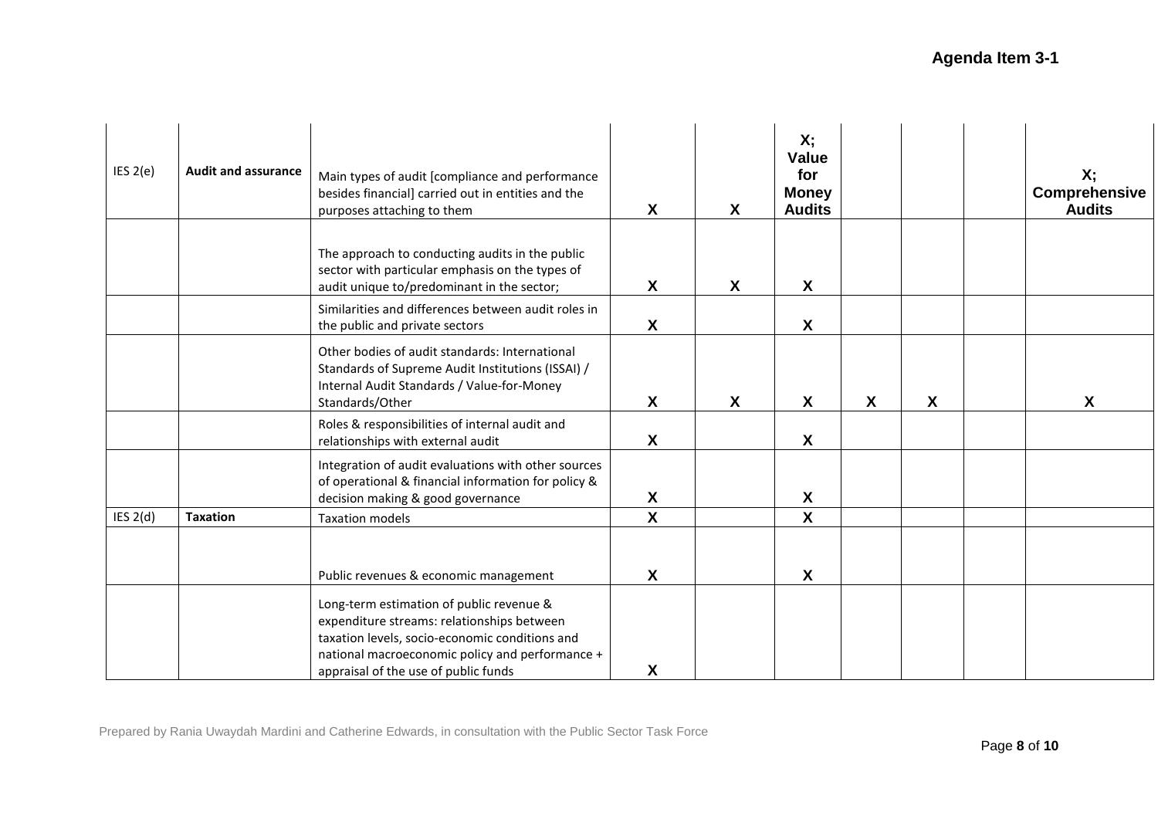| IES 2(e)   | <b>Audit and assurance</b> | Main types of audit [compliance and performance<br>besides financial] carried out in entities and the<br>purposes attaching to them                                                                                                 | X                | $\boldsymbol{X}$ | Х,<br><b>Value</b><br>for<br><b>Money</b><br><b>Audits</b> |   |                  | Х;<br>Comprehensive<br><b>Audits</b> |
|------------|----------------------------|-------------------------------------------------------------------------------------------------------------------------------------------------------------------------------------------------------------------------------------|------------------|------------------|------------------------------------------------------------|---|------------------|--------------------------------------|
|            |                            | The approach to conducting audits in the public<br>sector with particular emphasis on the types of<br>audit unique to/predominant in the sector;                                                                                    | X                | X                | X                                                          |   |                  |                                      |
|            |                            | Similarities and differences between audit roles in<br>the public and private sectors                                                                                                                                               | X                |                  | X                                                          |   |                  |                                      |
|            |                            | Other bodies of audit standards: International<br>Standards of Supreme Audit Institutions (ISSAI) /<br>Internal Audit Standards / Value-for-Money<br>Standards/Other                                                                | X                | $\boldsymbol{X}$ | X                                                          | X | $\boldsymbol{X}$ | X                                    |
|            |                            | Roles & responsibilities of internal audit and<br>relationships with external audit                                                                                                                                                 | $\boldsymbol{X}$ |                  | $\boldsymbol{\mathsf{X}}$                                  |   |                  |                                      |
|            |                            | Integration of audit evaluations with other sources<br>of operational & financial information for policy &<br>decision making & good governance                                                                                     | X                |                  | X                                                          |   |                  |                                      |
| IES $2(d)$ | <b>Taxation</b>            | <b>Taxation models</b>                                                                                                                                                                                                              | X                |                  | X                                                          |   |                  |                                      |
|            |                            | Public revenues & economic management                                                                                                                                                                                               | X                |                  | X                                                          |   |                  |                                      |
|            |                            | Long-term estimation of public revenue &<br>expenditure streams: relationships between<br>taxation levels, socio-economic conditions and<br>national macroeconomic policy and performance +<br>appraisal of the use of public funds | X                |                  |                                                            |   |                  |                                      |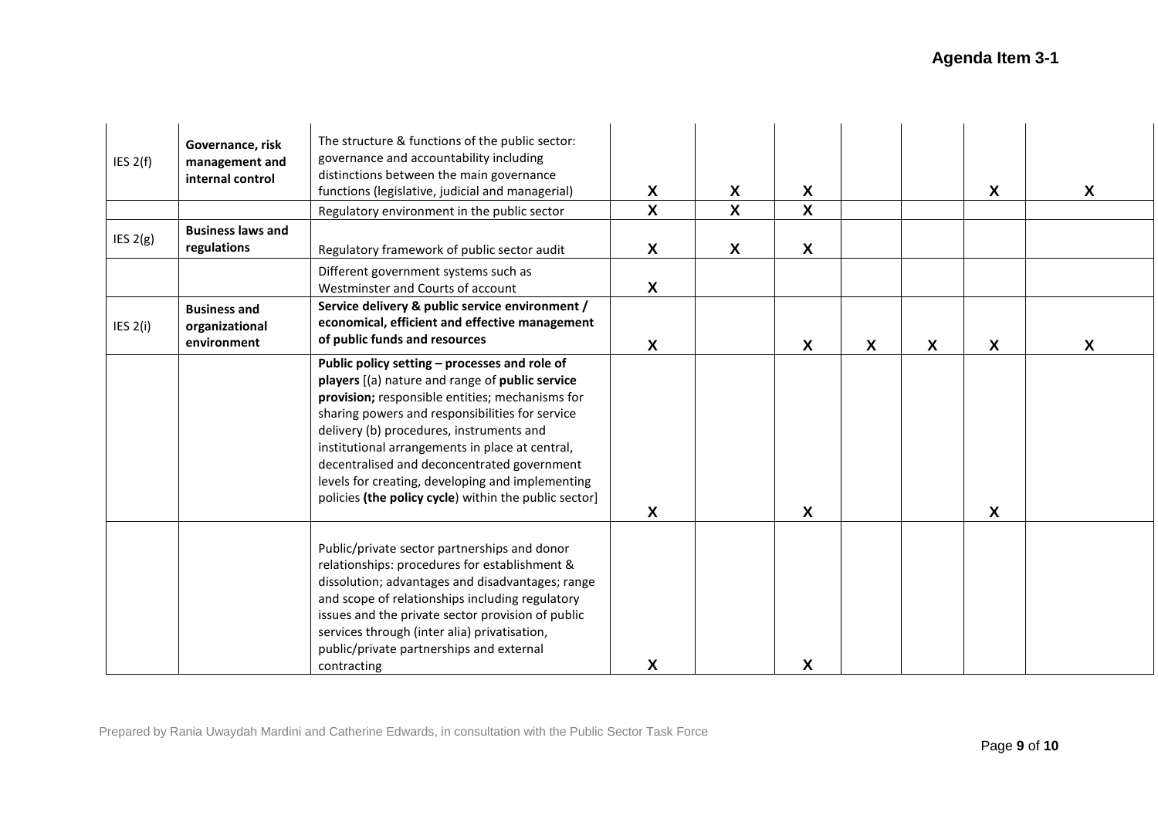| IES $2(f)$ | Governance, risk<br>management and<br>internal control | The structure & functions of the public sector:<br>governance and accountability including<br>distinctions between the main governance<br>functions (legislative, judicial and managerial)<br>Regulatory environment in the public sector                                                                                                                                                                                                                         | X<br>$\boldsymbol{\mathsf{X}}$ | X<br>$\mathsf{X}$ | $\boldsymbol{\mathsf{X}}$<br>$\boldsymbol{\mathsf{X}}$ |                  |   | $\boldsymbol{X}$          | X |
|------------|--------------------------------------------------------|-------------------------------------------------------------------------------------------------------------------------------------------------------------------------------------------------------------------------------------------------------------------------------------------------------------------------------------------------------------------------------------------------------------------------------------------------------------------|--------------------------------|-------------------|--------------------------------------------------------|------------------|---|---------------------------|---|
| IES 2(g)   | <b>Business laws and</b><br>regulations                | Regulatory framework of public sector audit                                                                                                                                                                                                                                                                                                                                                                                                                       | X                              | X                 | $\boldsymbol{\mathsf{X}}$                              |                  |   |                           |   |
|            |                                                        | Different government systems such as<br>Westminster and Courts of account                                                                                                                                                                                                                                                                                                                                                                                         | X                              |                   |                                                        |                  |   |                           |   |
| IES $2(i)$ | <b>Business and</b><br>organizational<br>environment   | Service delivery & public service environment /<br>economical, efficient and effective management<br>of public funds and resources                                                                                                                                                                                                                                                                                                                                | X                              |                   | X                                                      | $\boldsymbol{X}$ | X | X                         | X |
|            |                                                        | Public policy setting - processes and role of<br>players [(a) nature and range of public service<br>provision; responsible entities; mechanisms for<br>sharing powers and responsibilities for service<br>delivery (b) procedures, instruments and<br>institutional arrangements in place at central,<br>decentralised and deconcentrated government<br>levels for creating, developing and implementing<br>policies (the policy cycle) within the public sector] | X                              |                   | $\boldsymbol{\mathsf{X}}$                              |                  |   | $\boldsymbol{\mathsf{X}}$ |   |
|            |                                                        | Public/private sector partnerships and donor<br>relationships: procedures for establishment &<br>dissolution; advantages and disadvantages; range<br>and scope of relationships including regulatory<br>issues and the private sector provision of public<br>services through (inter alia) privatisation,<br>public/private partnerships and external<br>contracting                                                                                              | X                              |                   | X                                                      |                  |   |                           |   |